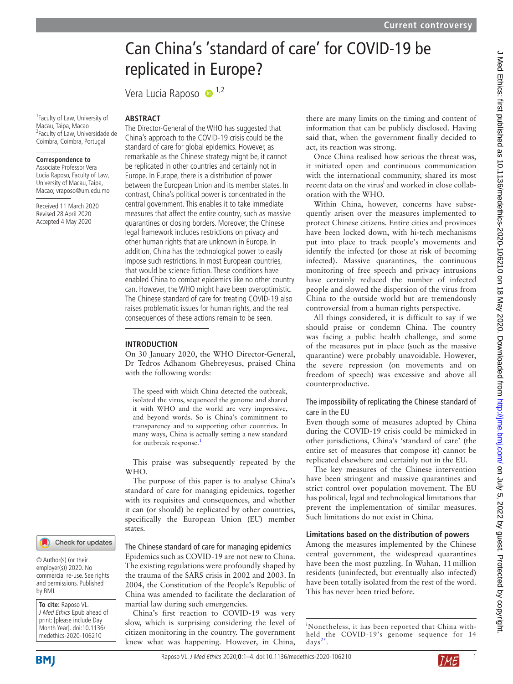# Can China's 'standard of care' for COVID-19 be replicated in Europe?

Vera Lucia Raposo  $\bullet$ <sup>1,2</sup>

1 Faculty of Law, University of Macau, Taipa, Macao 2 Faculty of Law, Universidade de Coimbra, Coimbra, Portugal

## **Correspondence to**

Associate Professor Vera Lucia Raposo, Faculty of Law, University of Macau, Taipa, Macao; vraposo@um.edu.mo

Received 11 March 2020 Revised 28 April 2020 Accepted 4 May 2020

## **Abstract**

The Director-General of the WHO has suggested that China's approach to the COVID-19 crisis could be the standard of care for global epidemics. However, as remarkable as the Chinese strategy might be, it cannot be replicated in other countries and certainly not in Europe. In Europe, there is a distribution of power between the European Union and its member states. In contrast, China's political power is concentrated in the central government. This enables it to take immediate measures that affect the entire country, such as massive quarantines or closing borders. Moreover, the Chinese legal framework includes restrictions on privacy and other human rights that are unknown in Europe. In addition, China has the technological power to easily impose such restrictions. In most European countries, that would be science fiction. These conditions have enabled China to combat epidemics like no other country can. However, the WHO might have been overoptimistic. The Chinese standard of care for treating COVID-19 also raises problematic issues for human rights, and the real consequences of these actions remain to be seen.

#### **Introduction**

On 30 January 2020, the WHO Director-General, Dr Tedros Adhanom Ghebreyesus, praised China with the following words:

The speed with which China detected the outbreak, isolated the virus, sequenced the genome and shared it with WHO and the world are very impressive, and beyond words. So is China's commitment to transparency and to supporting other countries. In many ways, China is actually setting a new standard for outbreak response.<sup>[1](#page-3-0)</sup>

This praise was subsequently repeated by the WHO.

The purpose of this paper is to analyse China's standard of care for managing epidemics, together with its requisites and consequences, and whether it can (or should) be replicated by other countries, specifically the European Union (EU) member states.

#### The Chinese standard of care for managing epidemics

Epidemics such as COVID-19 are not new to China. The existing regulations were profoundly shaped by the trauma of the SARS crisis in 2002 and 2003. In 2004, the Constitution of the People's Republic of China was amended to facilitate the declaration of martial law during such emergencies.

China's first reaction to COVID-19 was very slow, which is surprising considering the level of citizen monitoring in the country. The government knew what was happening. However, in China,

there are many limits on the timing and content of information that can be publicly disclosed. Having said that, when the government finally decided to act, its reaction was strong.

Once China realised how serious the threat was, it initiated open and continuous communication with the international community, shared its most recent data on the virus<sup>i</sup> and worked in close collaboration with the WHO.

Within China, however, concerns have subsequently arisen over the measures implemented to protect Chinese citizens. Entire cities and provinces have been locked down, with hi-tech mechanisms put into place to track people's movements and identify the infected (or those at risk of becoming infected). Massive quarantines, the continuous monitoring of free speech and privacy intrusions have certainly reduced the number of infected people and slowed the dispersion of the virus from China to the outside world but are tremendously controversial from a human rights perspective.

All things considered, it is difficult to say if we should praise or condemn China. The country was facing a public health challenge, and some of the measures put in place (such as the massive quarantine) were probably unavoidable. However, the severe repression (on movements and on freedom of speech) was excessive and above all counterproductive.

# The impossibility of replicating the Chinese standard of care in the EU

Even though some of measures adopted by China during the COVID-19 crisis could be mimicked in other jurisdictions, China's 'standard of care' (the entire set of measures that compose it) cannot be replicated elsewhere and certainly not in the EU.

The key measures of the Chinese intervention have been stringent and massive quarantines and strict control over population movement. The EU has political, legal and technological limitations that prevent the implementation of similar measures. Such limitations do not exist in China.

## **Limitations based on the distribution of powers**

Among the measures implemented by the Chinese central government, the widespread quarantines have been the most puzzling. In Wuhan, 11million residents (uninfected, but eventually also infected) have been totally isolated from the rest of the word. This has never been tried before.

i Nonetheless, it has been reported that China withheld the COVID-19's genome sequence for 14 days<sup>25</sup>.



by BMJ.

**To cite:** Raposo VL. J Med Ethics Epub ahead of print: [please include Day Month Year]. doi:10.1136/ medethics-2020-106210

© Author(s) (or their employer(s)) 2020. No commercial re-use. See rights and permissions. Published

Check for updates

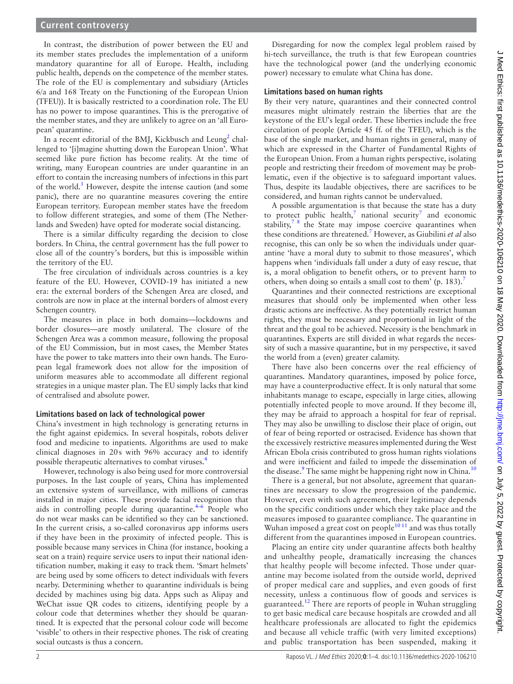#### **Current controversy**

In contrast, the distribution of power between the EU and its member states precludes the implementation of a uniform mandatory quarantine for all of Europe. Health, including public health, depends on the competence of the member states. The role of the EU is complementary and subsidiary (Articles 6/a and 168 Treaty on the Functioning of the European Union (TFEU)). It is basically restricted to a coordination role. The EU has no power to impose quarantines. This is the prerogative of the member states, and they are unlikely to agree on an 'all European' quarantine.

In a recent editorial of the BMJ, Kickbusch and Leung<sup>2</sup> challenged to '[i]magine shutting down the European Union'. What seemed like pure fiction has become reality. At the time of writing, many European countries are under quarantine in an effort to contain the increasing numbers of infections in this part of the world.<sup>[3](#page-3-3)</sup> However, despite the intense caution (and some panic), there are no quarantine measures covering the entire European territory. European member states have the freedom to follow different strategies, and some of them (The Netherlands and Sweden) have opted for moderate social distancing.

There is a similar difficulty regarding the decision to close borders. In China, the central government has the full power to close all of the country's borders, but this is impossible within the territory of the EU.

The free circulation of individuals across countries is a key feature of the EU. However, COVID-19 has initiated a new era: the external borders of the Schengen Area are closed, and controls are now in place at the internal borders of almost every Schengen country.

The measures in place in both domains—lockdowns and border closures—are mostly unilateral. The closure of the Schengen Area was a common measure, following the proposal of the EU Commission, but in most cases, the Member States have the power to take matters into their own hands. The European legal framework does not allow for the imposition of uniform measures able to accommodate all different regional strategies in a unique master plan. The EU simply lacks that kind of centralised and absolute power.

#### **Limitations based on lack of technological power**

China's investment in high technology is generating returns in the fight against epidemics. In several hospitals, robots deliver food and medicine to inpatients. Algorithms are used to make clinical diagnoses in 20s with 96% accuracy and to identify possible therapeutic alternatives to combat viruses[.4](#page-3-4)

However, technology is also being used for more controversial purposes. In the last couple of years, China has implemented an extensive system of surveillance, with millions of cameras installed in major cities. These provide facial recognition that aids in controlling people during quarantine. $4-6$  People who do not wear masks can be identified so they can be sanctioned. In the current crisis, a so-called coronavirus app informs users if they have been in the proximity of infected people. This is possible because many services in China (for instance, booking a seat on a train) require service users to input their national identification number, making it easy to track them. 'Smart helmets' are being used by some officers to detect individuals with fevers nearby. Determining whether to quarantine individuals is being decided by machines using big data. Apps such as Alipay and WeChat issue QR codes to citizens, identifying people by a colour code that determines whether they should be quarantined. It is expected that the personal colour code will become 'visible' to others in their respective phones. The risk of creating social outcasts is thus a concern.

Disregarding for now the complex legal problem raised by hi-tech surveillance, the truth is that few European countries have the technological power (and the underlying economic power) necessary to emulate what China has done.

#### **Limitations based on human rights**

By their very nature, quarantines and their connected control measures might ultimately restrain the liberties that are the keystone of the EU's legal order. These liberties include the free circulation of people (Article 45 ff. of the TFEU), which is the base of the single market, and human rights in general, many of which are expressed in the Charter of Fundamental Rights of the European Union. From a human rights perspective, isolating people and restricting their freedom of movement may be problematic, even if the objective is to safeguard important values. Thus, despite its laudable objectives, there are sacrifices to be considered, and human rights cannot be undervalued.

A possible argumentation is that because the state has a duty to protect public health,<sup>[7](#page-3-5)</sup> national security<sup>7</sup> and economic stability, $78$  the State may impose coercive quarantines when these conditions are threatened.[7](#page-3-5) However, as Giubilini *et al* also recognise, this can only be so when the individuals under quarantine 'have a moral duty to submit to those measures', which happens when 'individuals fall under a duty of easy rescue, that is, a moral obligation to benefit others, or to prevent harm to others, when doing so entails a small cost to them' (p. 183).<sup>7</sup>

Quarantines and their connected restrictions are exceptional measures that should only be implemented when other less drastic actions are ineffective. As they potentially restrict human rights, they must be necessary and proportional in light of the threat and the goal to be achieved. Necessity is the benchmark in quarantines. Experts are still divided in what regards the necessity of such a massive quarantine, but in my perspective, it saved the world from a (even) greater calamity.

There have also been concerns over the real efficiency of quarantines. Mandatory quarantines, imposed by police force, may have a counterproductive effect. It is only natural that some inhabitants manage to escape, especially in large cities, allowing potentially infected people to move around. If they become ill, they may be afraid to approach a hospital for fear of reprisal. They may also be unwilling to disclose their place of origin, out of fear of being reported or ostracised. Evidence has shown that the excessively restrictive measures implemented during the West African Ebola crisis contributed to gross human rights violations and were inefficient and failed to impede the dissemination of the disease.<sup>9</sup> The same might be happening right now in China.<sup>[10](#page-3-7)</sup>

There is a general, but not absolute, agreement that quarantines are necessary to slow the progression of the pandemic. However, even with such agreement, their legitimacy depends on the specific conditions under which they take place and the measures imposed to guarantee compliance. The quarantine in Wuhan imposed a great cost on people $10^{10}$  and was thus totally different from the quarantines imposed in European countries.

Placing an entire city under quarantine affects both healthy and unhealthy people, dramatically increasing the chances that healthy people will become infected. Those under quarantine may become isolated from the outside world, deprived of proper medical care and supplies, and even goods of first necessity, unless a continuous flow of goods and services is guaranteed.<sup>[12](#page-3-8)</sup> There are reports of people in Wuhan struggling to get basic medical care because hospitals are crowded and all healthcare professionals are allocated to fight the epidemics and because all vehicle traffic (with very limited exceptions) and public transportation has been suspended, making it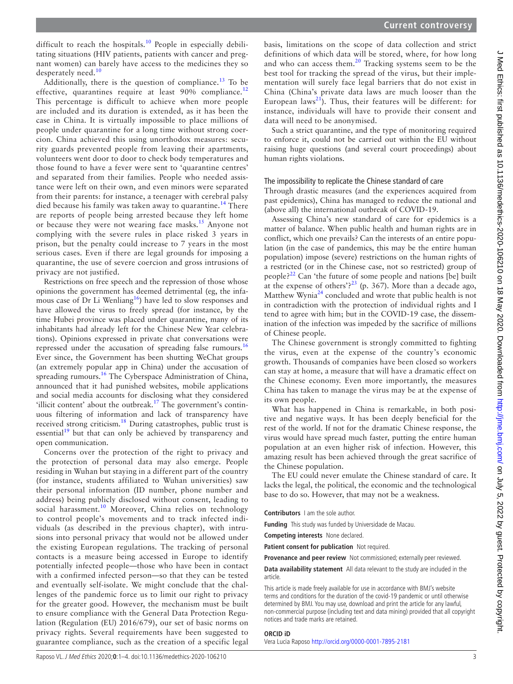difficult to reach the hospitals.<sup>10</sup> People in especially debilitating situations (HIV patients, patients with cancer and pregnant women) can barely have access to the medicines they so desperately need.<sup>[10](#page-3-7)</sup>

Additionally, there is the question of compliance.<sup>[13](#page-3-9)</sup> To be effective, quarantines require at least 90% compliance.<sup>1</sup> This percentage is difficult to achieve when more people are included and its duration is extended, as it has been the case in China. It is virtually impossible to place millions of people under quarantine for a long time without strong coercion. China achieved this using unorthodox measures: security guards prevented people from leaving their apartments, volunteers went door to door to check body temperatures and those found to have a fever were sent to 'quarantine centres' and separated from their families. People who needed assistance were left on their own, and even minors were separated from their parents: for instance, a teenager with cerebral palsy died because his family was taken away to quarantine.<sup>14</sup> There are reports of people being arrested because they left home or because they were not wearing face masks.[15](#page-3-11) Anyone not complying with the severe rules in place risked 3 years in prison, but the penalty could increase to 7 years in the most serious cases. Even if there are legal grounds for imposing a quarantine, the use of severe coercion and gross intrusions of privacy are not justified.

Restrictions on free speech and the repression of those whose opinions the government has deemed detrimental (eg, the infamous case of Dr Li Wenliang<sup>16</sup>) have led to slow responses and have allowed the virus to freely spread (for instance, by the time Hubei province was placed under quarantine, many of its inhabitants had already left for the Chinese New Year celebrations). Opinions expressed in private chat conversations were repressed under the accusation of spreading false rumours.<sup>[16](#page-3-12)</sup> Ever since, the Government has been shutting WeChat groups (an extremely popular app in China) under the accusation of spreading rumours.<sup>16</sup> The Cyberspace Administration of China, announced that it had punished websites, mobile applications and social media accounts for disclosing what they considered 'illicit content' about the outbreak.<sup>17</sup> The government's continuous filtering of information and lack of transparency have received strong criticism[.18](#page-3-14) During catastrophes, public trust is essential $1<sup>9</sup>$  but that can only be achieved by transparency and open communication.

Concerns over the protection of the right to privacy and the protection of personal data may also emerge. People residing in Wuhan but staying in a different part of the country (for instance, students affiliated to Wuhan universities) saw their personal information (ID number, phone number and address) being publicly disclosed without consent, leading to social harassment.<sup>[10](#page-3-7)</sup> Moreover, China relies on technology to control people's movements and to track infected individuals (as described in the previous chapter), with intrusions into personal privacy that would not be allowed under the existing European regulations. The tracking of personal contacts is a measure being accessed in Europe to identify potentially infected people—those who have been in contact with a confirmed infected person—so that they can be tested and eventually self-isolate. We might conclude that the challenges of the pandemic force us to limit our right to privacy for the greater good. However, the mechanism must be built to ensure compliance with the General Data Protection Regulation (Regulation (EU) 2016/679), our set of basic norms on privacy rights. Several requirements have been suggested to guarantee compliance, such as the creation of a specific legal

basis, limitations on the scope of data collection and strict definitions of which data will be stored, where, for how long and who can access them.[20](#page-3-16) Tracking systems seem to be the best tool for tracking the spread of the virus, but their implementation will surely face legal barriers that do not exist in China (China's private data laws are much looser than the European laws<sup>[21](#page-3-17)</sup>). Thus, their features will be different: for instance, individuals will have to provide their consent and data will need to be anonymised.

Such a strict quarantine, and the type of monitoring required to enforce it, could not be carried out within the EU without raising huge questions (and several court proceedings) about human rights violations.

## The impossibility to replicate the Chinese standard of care

Through drastic measures (and the experiences acquired from past epidemics), China has managed to reduce the national and (above all) the international outbreak of COVID-19.

Assessing China's new standard of care for epidemics is a matter of balance. When public health and human rights are in conflict, which one prevails? Can the interests of an entire population (in the case of pandemics, this may be the entire human population) impose (severe) restrictions on the human rights of a restricted (or in the Chinese case, not so restricted) group of people?[22](#page-3-18) Can 'the future of some people and nations [be] built at the expense of others'?<sup>23</sup> (p. 367). More than a decade ago, Matthew Wynia<sup>[24](#page-3-20)</sup> concluded and wrote that public health is not in contradiction with the protection of individual rights and I tend to agree with him; but in the COVID-19 case, the dissemination of the infection was impeded by the sacrifice of millions of Chinese people.

The Chinese government is strongly committed to fighting the virus, even at the expense of the country's economic growth. Thousands of companies have been closed so workers can stay at home, a measure that will have a dramatic effect on the Chinese economy. Even more importantly, the measures China has taken to manage the virus may be at the expense of its own people.

What has happened in China is remarkable, in both positive and negative ways. It has been deeply beneficial for the rest of the world. If not for the dramatic Chinese response, the virus would have spread much faster, putting the entire human population at an even higher risk of infection. However, this amazing result has been achieved through the great sacrifice of the Chinese population.

The EU could never emulate the Chinese standard of care. It lacks the legal, the political, the economic and the technological base to do so. However, that may not be a weakness.

**Contributors** I am the sole author.

**Funding** This study was funded by Universidade de Macau.

**Competing interests** None declared.

**Patient consent for publication** Not required.

**Provenance and peer review** Not commissioned; externally peer reviewed.

**Data availability statement** All data relevant to the study are included in the article.

This article is made freely available for use in accordance with BMJ's website terms and conditions for the duration of the covid-19 pandemic or until otherwise determined by BMJ. You may use, download and print the article for any lawful, non-commercial purpose (including text and data mining) provided that all copyright notices and trade marks are retained.

#### **ORCID iD**

Vera Lucia Raposo <http://orcid.org/0000-0001-7895-2181>